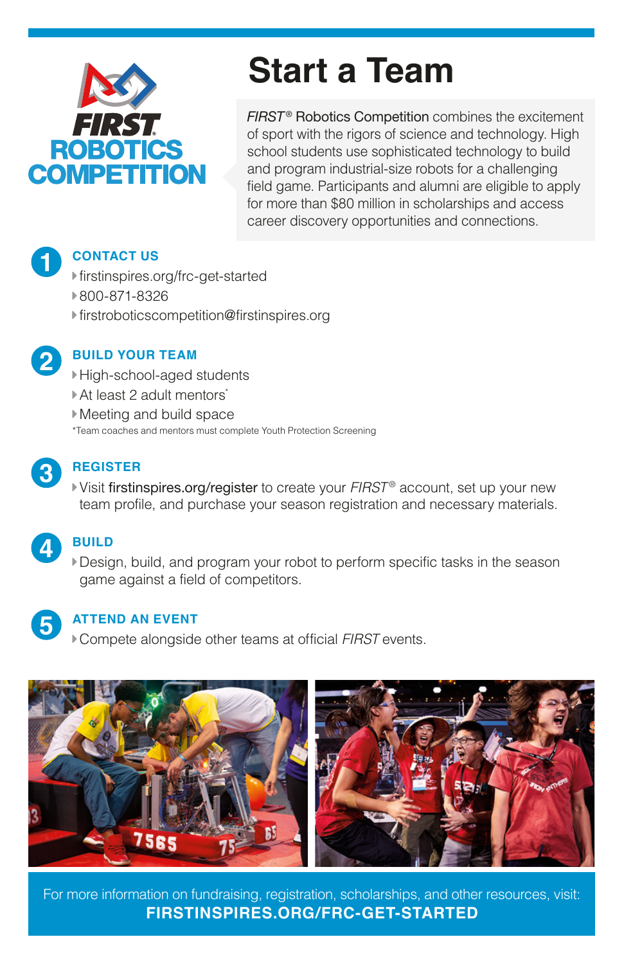

# **Start a Team**

**FIRST<sup>®</sup> Robotics Competition** combines the excitement of sport with the rigors of science and technology. High school students use sophisticated technology to build and program industrial-size robots for a challenging field game. Participants and alumni are eligible to apply for more than \$80 million in scholarships and access career discovery opportunities and connections.

### **CONTACT US**

- [firstinspires.org/frc-get-started](https://www.firstinspires.org/frc-get-started)
- 800-871-8326
- [firstroboticscompetition@firstinspires.org](mailto:firstroboticscompetition%40firstinspires.org?subject=Start%20A%20Team)



**1**

# **BUILD YOUR TEAM**

- High-school-aged students
- ▶ At least 2 adult mentors\*
- Meeting and build space
- \*Team coaches and mentors must complete Youth Protection Screening



# **REGISTER**

Visit [firstinspires.org/register](https://www.firstinspires.org/register) to create your *FIRST* ® account, set up your new team profile, and purchase your season registration and necessary materials.



# **BUILD**

Design, build, and program your robot to perform specific tasks in the season game against a field of competitors.



#### **ATTEND AN EVENT**

Compete alongside other teams at official *FIRST* events.



For more information on fundraising, registration, scholarships, and other resources, visit: **[FIRSTINSPIRES.ORG/FRC-GET-STARTED](https://www.firstinspires.org/frc-get-started)**